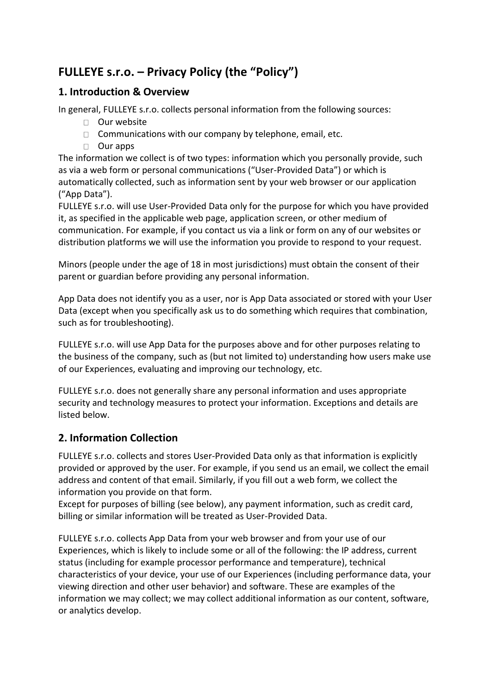# **FULLEYE s.r.o. – Privacy Policy (the "Policy")**

#### **1. Introduction & Overview**

In general, FULLEYE s.r.o. collects personal information from the following sources:

- □ Our website
- $\Box$  Communications with our company by telephone, email, etc.
- Our apps

The information we collect is of two types: information which you personally provide, such as via a web form or personal communications ("User-Provided Data") or which is automatically collected, such as information sent by your web browser or our application ("App Data").

FULLEYE s.r.o. will use User-Provided Data only for the purpose for which you have provided it, as specified in the applicable web page, application screen, or other medium of communication. For example, if you contact us via a link or form on any of our websites or distribution platforms we will use the information you provide to respond to your request.

Minors (people under the age of 18 in most jurisdictions) must obtain the consent of their parent or guardian before providing any personal information.

App Data does not identify you as a user, nor is App Data associated or stored with your User Data (except when you specifically ask us to do something which requires that combination, such as for troubleshooting).

FULLEYE s.r.o. will use App Data for the purposes above and for other purposes relating to the business of the company, such as (but not limited to) understanding how users make use of our Experiences, evaluating and improving our technology, etc.

FULLEYE s.r.o. does not generally share any personal information and uses appropriate security and technology measures to protect your information. Exceptions and details are listed below.

## **2. Information Collection**

FULLEYE s.r.o. collects and stores User-Provided Data only as that information is explicitly provided or approved by the user. For example, if you send us an email, we collect the email address and content of that email. Similarly, if you fill out a web form, we collect the information you provide on that form.

Except for purposes of billing (see below), any payment information, such as credit card, billing or similar information will be treated as User-Provided Data.

FULLEYE s.r.o. collects App Data from your web browser and from your use of our Experiences, which is likely to include some or all of the following: the IP address, current status (including for example processor performance and temperature), technical characteristics of your device, your use of our Experiences (including performance data, your viewing direction and other user behavior) and software. These are examples of the information we may collect; we may collect additional information as our content, software, or analytics develop.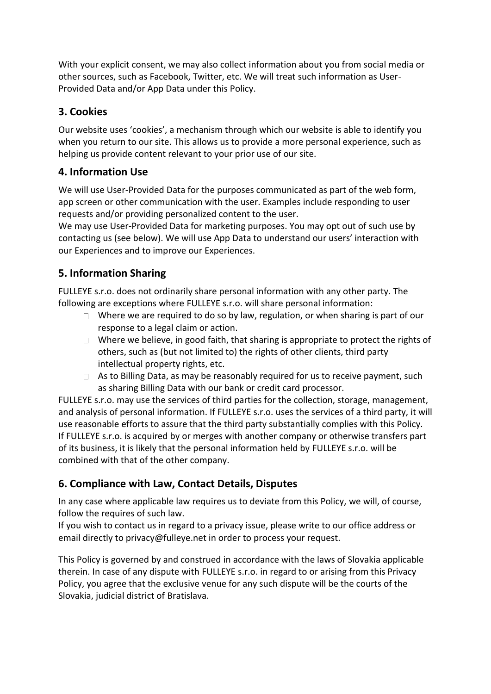With your explicit consent, we may also collect information about you from social media or other sources, such as Facebook, Twitter, etc. We will treat such information as User-Provided Data and/or App Data under this Policy.

## **3. Cookies**

Our website uses 'cookies', a mechanism through which our website is able to identify you when you return to our site. This allows us to provide a more personal experience, such as helping us provide content relevant to your prior use of our site.

#### **4. Information Use**

We will use User-Provided Data for the purposes communicated as part of the web form, app screen or other communication with the user. Examples include responding to user requests and/or providing personalized content to the user.

We may use User-Provided Data for marketing purposes. You may opt out of such use by contacting us (see below). We will use App Data to understand our users' interaction with our Experiences and to improve our Experiences.

## **5. Information Sharing**

FULLEYE s.r.o. does not ordinarily share personal information with any other party. The following are exceptions where FULLEYE s.r.o. will share personal information:

- $\Box$  Where we are required to do so by law, regulation, or when sharing is part of our response to a legal claim or action.
- $\Box$  Where we believe, in good faith, that sharing is appropriate to protect the rights of others, such as (but not limited to) the rights of other clients, third party intellectual property rights, etc.
- $\Box$  As to Billing Data, as may be reasonably required for us to receive payment, such as sharing Billing Data with our bank or credit card processor.

FULLEYE s.r.o. may use the services of third parties for the collection, storage, management, and analysis of personal information. If FULLEYE s.r.o. uses the services of a third party, it will use reasonable efforts to assure that the third party substantially complies with this Policy. If FULLEYE s.r.o. is acquired by or merges with another company or otherwise transfers part of its business, it is likely that the personal information held by FULLEYE s.r.o. will be combined with that of the other company.

## **6. Compliance with Law, Contact Details, Disputes**

In any case where applicable law requires us to deviate from this Policy, we will, of course, follow the requires of such law.

If you wish to contact us in regard to a privacy issue, please write to our office address or email directly to privacy@fulleye.net in order to process your request.

This Policy is governed by and construed in accordance with the laws of Slovakia applicable therein. In case of any dispute with FULLEYE s.r.o. in regard to or arising from this Privacy Policy, you agree that the exclusive venue for any such dispute will be the courts of the Slovakia, judicial district of Bratislava.